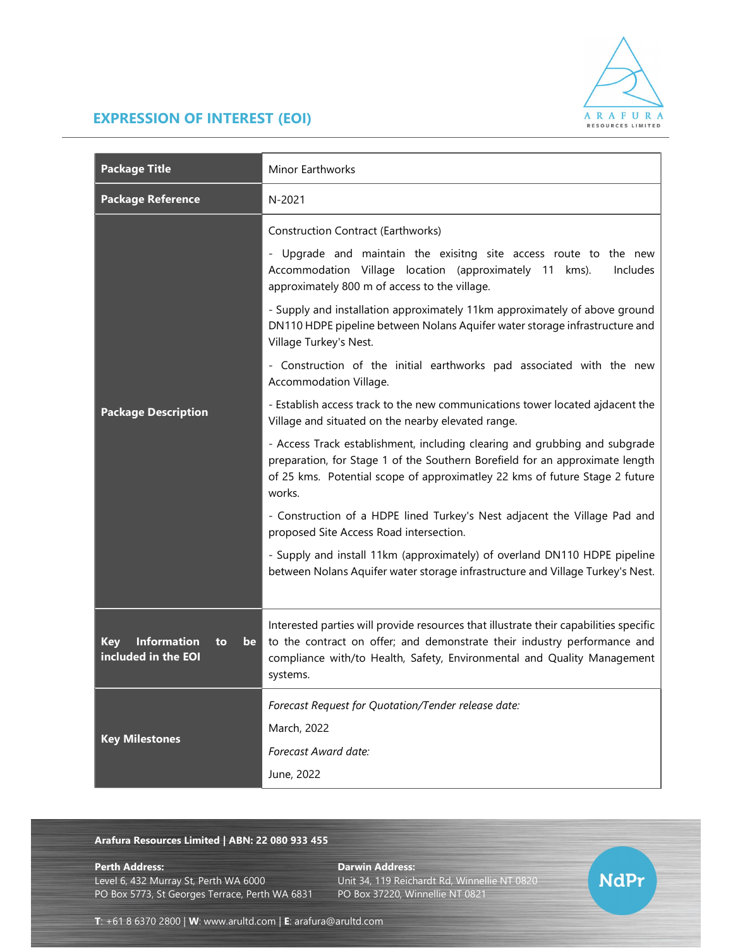

**NdPr** 

## EXPRESSION OF INTEREST (EOI)

| <b>Package Title</b>                                                | Minor Earthworks                                                                                                                                                                                                                                                                                                                                                                                                                                                                                                                                                                                        |
|---------------------------------------------------------------------|---------------------------------------------------------------------------------------------------------------------------------------------------------------------------------------------------------------------------------------------------------------------------------------------------------------------------------------------------------------------------------------------------------------------------------------------------------------------------------------------------------------------------------------------------------------------------------------------------------|
| <b>Package Reference</b>                                            | N-2021                                                                                                                                                                                                                                                                                                                                                                                                                                                                                                                                                                                                  |
| <b>Package Description</b>                                          | Construction Contract (Earthworks)<br>- Upgrade and maintain the exisitng site access route to the new<br>Accommodation Village location (approximately 11 kms).<br>Includes<br>approximately 800 m of access to the village.<br>- Supply and installation approximately 11km approximately of above ground<br>DN110 HDPE pipeline between Nolans Aquifer water storage infrastructure and<br>Village Turkey's Nest.<br>- Construction of the initial earthworks pad associated with the new<br>Accommodation Village.<br>- Establish access track to the new communications tower located ajdacent the |
|                                                                     | Village and situated on the nearby elevated range.<br>- Access Track establishment, including clearing and grubbing and subgrade<br>preparation, for Stage 1 of the Southern Borefield for an approximate length<br>of 25 kms. Potential scope of approximatley 22 kms of future Stage 2 future<br>works.<br>- Construction of a HDPE lined Turkey's Nest adjacent the Village Pad and<br>proposed Site Access Road intersection.<br>- Supply and install 11km (approximately) of overland DN110 HDPE pipeline<br>between Nolans Aquifer water storage infrastructure and Village Turkey's Nest.        |
| <b>Information</b><br><b>Key</b><br>be<br>to<br>included in the EOI | Interested parties will provide resources that illustrate their capabilities specific<br>to the contract on offer; and demonstrate their industry performance and<br>compliance with/to Health, Safety, Environmental and Quality Management<br>systems.                                                                                                                                                                                                                                                                                                                                                |
| <b>Key Milestones</b>                                               | Forecast Request for Quotation/Tender release date:<br>March, 2022<br>Forecast Award date:<br>June, 2022                                                                                                                                                                                                                                                                                                                                                                                                                                                                                                |

## Arafura Resources Limited | ABN: 22 080 933 455

Level 6, 432 Murray St, Perth WA 6000 Unit 34, 119 Reichardt Rd, Winnellie NT 0820 PO Box 5773, St Georges Terrace, Perth WA 6831

Perth Address: Darwin Address:

T: +61 8 6370 2800 | W: www.arultd.com | E: arafura@arultd.com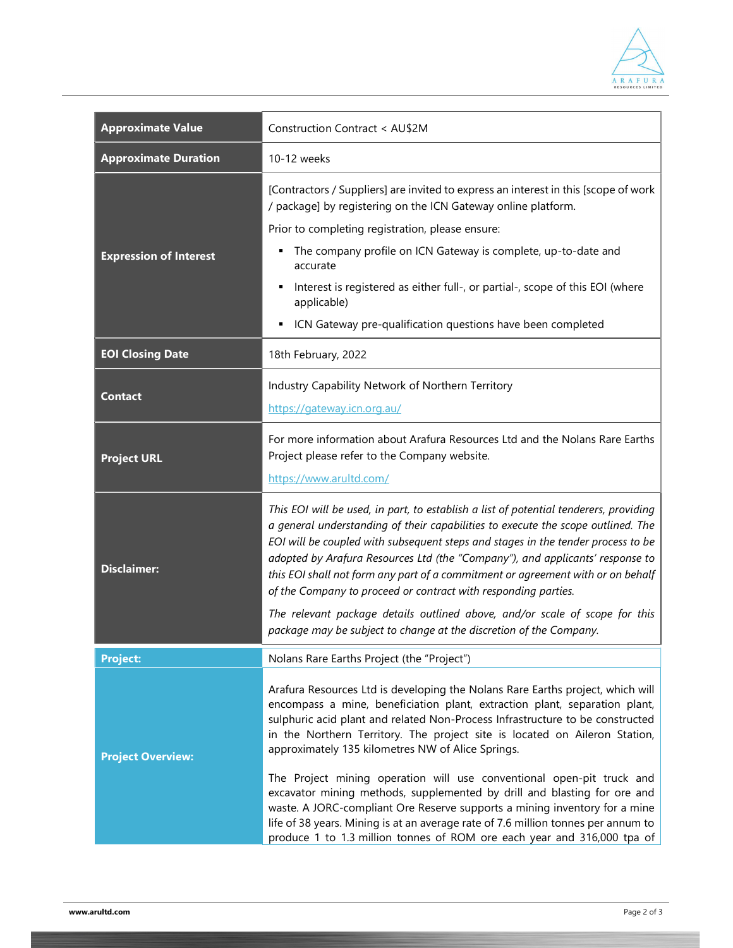

| <b>Approximate Value</b>      | Construction Contract < AU\$2M                                                                                                                                                                                                                                                                                                                                                                                                                                                                                                                                                                                      |
|-------------------------------|---------------------------------------------------------------------------------------------------------------------------------------------------------------------------------------------------------------------------------------------------------------------------------------------------------------------------------------------------------------------------------------------------------------------------------------------------------------------------------------------------------------------------------------------------------------------------------------------------------------------|
| <b>Approximate Duration</b>   | 10-12 weeks                                                                                                                                                                                                                                                                                                                                                                                                                                                                                                                                                                                                         |
| <b>Expression of Interest</b> | [Contractors / Suppliers] are invited to express an interest in this [scope of work<br>/ package] by registering on the ICN Gateway online platform.                                                                                                                                                                                                                                                                                                                                                                                                                                                                |
|                               | Prior to completing registration, please ensure:                                                                                                                                                                                                                                                                                                                                                                                                                                                                                                                                                                    |
|                               | The company profile on ICN Gateway is complete, up-to-date and<br>٠<br>accurate                                                                                                                                                                                                                                                                                                                                                                                                                                                                                                                                     |
|                               | Interest is registered as either full-, or partial-, scope of this EOI (where<br>applicable)                                                                                                                                                                                                                                                                                                                                                                                                                                                                                                                        |
|                               | ICN Gateway pre-qualification questions have been completed                                                                                                                                                                                                                                                                                                                                                                                                                                                                                                                                                         |
| <b>EOI Closing Date</b>       | 18th February, 2022                                                                                                                                                                                                                                                                                                                                                                                                                                                                                                                                                                                                 |
| <b>Contact</b>                | Industry Capability Network of Northern Territory                                                                                                                                                                                                                                                                                                                                                                                                                                                                                                                                                                   |
|                               | https://gateway.icn.org.au/                                                                                                                                                                                                                                                                                                                                                                                                                                                                                                                                                                                         |
| <b>Project URL</b>            | For more information about Arafura Resources Ltd and the Nolans Rare Earths<br>Project please refer to the Company website.                                                                                                                                                                                                                                                                                                                                                                                                                                                                                         |
|                               | https://www.arultd.com/                                                                                                                                                                                                                                                                                                                                                                                                                                                                                                                                                                                             |
| <b>Disclaimer:</b>            | This EOI will be used, in part, to establish a list of potential tenderers, providing<br>a general understanding of their capabilities to execute the scope outlined. The<br>EOI will be coupled with subsequent steps and stages in the tender process to be<br>adopted by Arafura Resources Ltd (the "Company"), and applicants' response to<br>this EOI shall not form any part of a commitment or agreement with or on behalf<br>of the Company to proceed or contract with responding parties.                                                                                                                 |
|                               | The relevant package details outlined above, and/or scale of scope for this<br>package may be subject to change at the discretion of the Company.                                                                                                                                                                                                                                                                                                                                                                                                                                                                   |
| <b>Project:</b>               | Nolans Rare Earths Project (the "Project")                                                                                                                                                                                                                                                                                                                                                                                                                                                                                                                                                                          |
| <b>Project Overview:</b>      | Arafura Resources Ltd is developing the Nolans Rare Earths project, which will<br>encompass a mine, beneficiation plant, extraction plant, separation plant,<br>sulphuric acid plant and related Non-Process Infrastructure to be constructed<br>in the Northern Territory. The project site is located on Aileron Station,<br>approximately 135 kilometres NW of Alice Springs.<br>The Project mining operation will use conventional open-pit truck and<br>excavator mining methods, supplemented by drill and blasting for ore and<br>waste. A JORC-compliant Ore Reserve supports a mining inventory for a mine |
|                               | life of 38 years. Mining is at an average rate of 7.6 million tonnes per annum to<br>produce 1 to 1.3 million tonnes of ROM ore each year and 316,000 tpa of                                                                                                                                                                                                                                                                                                                                                                                                                                                        |